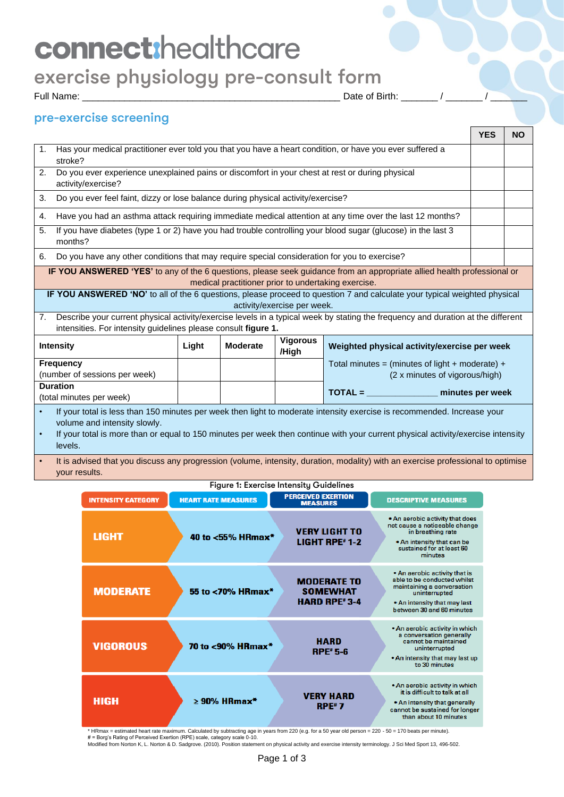# connect:healthcare

## exercise physiology pre-consult form

Full Name: \_\_\_\_\_\_\_\_\_\_\_\_\_\_\_\_\_\_\_\_\_\_\_\_\_\_\_\_\_\_\_\_\_\_\_\_\_\_\_\_\_\_\_\_\_\_\_\_\_ Date of Birth: \_\_\_\_\_\_\_ / \_\_\_\_\_\_\_ / \_\_\_\_\_\_\_

## pre-exercise screening

|                                                                                                                                       |                                                                                                                                                                                                                                                                                                                                                   |       |                 |                          |                                                                                                                                                                                                                                                             | <b>YES</b> | <b>NO</b> |
|---------------------------------------------------------------------------------------------------------------------------------------|---------------------------------------------------------------------------------------------------------------------------------------------------------------------------------------------------------------------------------------------------------------------------------------------------------------------------------------------------|-------|-----------------|--------------------------|-------------------------------------------------------------------------------------------------------------------------------------------------------------------------------------------------------------------------------------------------------------|------------|-----------|
| Has your medical practitioner ever told you that you have a heart condition, or have you ever suffered a<br>$\mathbf{1}$ .<br>stroke? |                                                                                                                                                                                                                                                                                                                                                   |       |                 |                          |                                                                                                                                                                                                                                                             |            |           |
| 2.                                                                                                                                    | Do you ever experience unexplained pains or discomfort in your chest at rest or during physical<br>activity/exercise?                                                                                                                                                                                                                             |       |                 |                          |                                                                                                                                                                                                                                                             |            |           |
| 3.                                                                                                                                    | Do you ever feel faint, dizzy or lose balance during physical activity/exercise?                                                                                                                                                                                                                                                                  |       |                 |                          |                                                                                                                                                                                                                                                             |            |           |
| 4.                                                                                                                                    |                                                                                                                                                                                                                                                                                                                                                   |       |                 |                          | Have you had an asthma attack requiring immediate medical attention at any time over the last 12 months?                                                                                                                                                    |            |           |
| 5.                                                                                                                                    | months?                                                                                                                                                                                                                                                                                                                                           |       |                 |                          | If you have diabetes (type 1 or 2) have you had trouble controlling your blood sugar (glucose) in the last 3                                                                                                                                                |            |           |
| 6.                                                                                                                                    | Do you have any other conditions that may require special consideration for you to exercise?                                                                                                                                                                                                                                                      |       |                 |                          |                                                                                                                                                                                                                                                             |            |           |
|                                                                                                                                       | <b>IF YOU ANSWERED 'YES'</b> to any of the 6 questions, please seek guidance from an appropriate allied health professional or<br>medical practitioner prior to undertaking exercise.<br>IF YOU ANSWERED 'NO' to all of the 6 questions, please proceed to question 7 and calculate your typical weighted physical<br>activity/exercise per week. |       |                 |                          |                                                                                                                                                                                                                                                             |            |           |
|                                                                                                                                       |                                                                                                                                                                                                                                                                                                                                                   |       |                 |                          |                                                                                                                                                                                                                                                             |            |           |
| 7.                                                                                                                                    | intensities. For intensity guidelines please consult figure 1.                                                                                                                                                                                                                                                                                    |       |                 |                          | Describe your current physical activity/exercise levels in a typical week by stating the frequency and duration at the different                                                                                                                            |            |           |
|                                                                                                                                       | <b>Intensity</b>                                                                                                                                                                                                                                                                                                                                  | Light | <b>Moderate</b> | <b>Vigorous</b><br>/High | Weighted physical activity/exercise per week                                                                                                                                                                                                                |            |           |
|                                                                                                                                       | <b>Frequency</b><br>(number of sessions per week)                                                                                                                                                                                                                                                                                                 |       |                 |                          | Total minutes = (minutes of light + moderate) +<br>(2 x minutes of vigorous/high)                                                                                                                                                                           |            |           |
|                                                                                                                                       | <b>Duration</b><br>(total minutes per week)                                                                                                                                                                                                                                                                                                       |       |                 |                          | TOTAL = minutes per week                                                                                                                                                                                                                                    |            |           |
| $\bullet$                                                                                                                             | volume and intensity slowly.<br>levels.                                                                                                                                                                                                                                                                                                           |       |                 |                          | If your total is less than 150 minutes per week then light to moderate intensity exercise is recommended. Increase your<br>If your total is more than or equal to 150 minutes per week then continue with your current physical activity/exercise intensity |            |           |
|                                                                                                                                       | It is advised that you discuss any progression (volume, intensity, duration, modality) with an exercise professional to optimise                                                                                                                                                                                                                  |       |                 |                          |                                                                                                                                                                                                                                                             |            |           |

your results.

|                           |                            | Figure 1: Exercise Intensity Guidelines                                   |                                                                                                                                                                          |
|---------------------------|----------------------------|---------------------------------------------------------------------------|--------------------------------------------------------------------------------------------------------------------------------------------------------------------------|
| <b>INTENSITY CATEGORY</b> | <b>HEART RATE MEASURES</b> | <b>PERCEIVED EXERTION</b><br><b>MEASURES</b>                              | <b>DESCRIPTIVE MEASURES</b>                                                                                                                                              |
| <b>LIGHT</b>              | 40 to <55% HRmax*          | <b>VERY LIGHT TO</b><br><b>LIGHT RPE#1-2</b>                              | . An aerobic activity that does<br>not cause a noticeable change<br>in breathing rate<br>. An intensity that can be<br>sustained for at least 60<br>minutes              |
| <b>MODERATE</b>           | 55 to <70% HRmax*          | <b>MODERATE TO</b><br><b>SOMEWHAT</b><br><b>HARD RPE</b> <sup>#</sup> 3-4 | . An aerobic activity that is<br>able to be conducted whilst<br>maintaining a conversation<br>uninterrupted<br>. An intensity that may last<br>between 30 and 60 minutes |
| <b>VIGOROUS</b>           | 70 to <90% HRmax*          | <b>HARD</b><br>$RPE* 5-6$                                                 | . An aerobic activity in which<br>a conversation generally<br>cannot be maintained<br>uninterrupted<br>. An intensity that may last up<br>to 30 minutes                  |
| <b>HIGH</b>               | $\geq$ 90% HRmax*          | <b>VERY HARD</b><br><b>RPE</b> <sup>#</sup> 7                             | . An aerobic activity in which<br>it is difficult to talk at all<br>. An intensity that generally<br>cannot be sustained for longer<br>than about 10 minutes             |

\* HRmax = estimated heart rate maximum. Calculated by subtracting age in years from 220 (e.g. for a 50 year old person = 220 - 50 = 170 beats per minute).<br># = Borg's Rating of Perceived Exertion (RPE) scale, category scal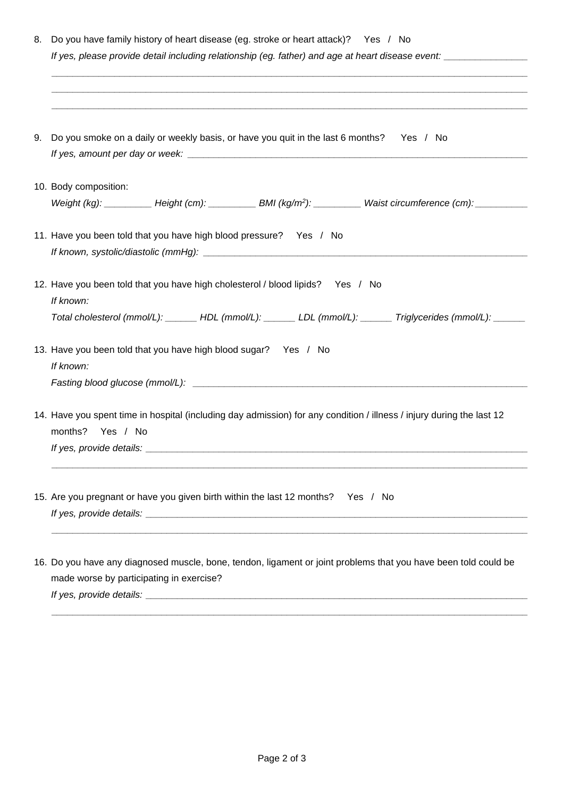| 9. Do you smoke on a daily or weekly basis, or have you quit in the last 6 months? Yes / No<br>10. Body composition:                                                                                      |
|-----------------------------------------------------------------------------------------------------------------------------------------------------------------------------------------------------------|
|                                                                                                                                                                                                           |
|                                                                                                                                                                                                           |
| Weight (kg): ___________ Height (cm): ___________ BMI (kg/m <sup>2</sup> ): ___________ Waist circumference (cm): ___________                                                                             |
| 11. Have you been told that you have high blood pressure? Yes / No                                                                                                                                        |
| 12. Have you been told that you have high cholesterol / blood lipids? Yes / No<br>If known:<br>Total cholesterol (mmol/L): ______ HDL (mmol/L): ______ LDL (mmol/L): ______ Triglycerides (mmol/L): _____ |
| 13. Have you been told that you have high blood sugar? Yes / No<br>If known:                                                                                                                              |
| 14. Have you spent time in hospital (including day admission) for any condition / illness / injury during the last 12<br>months?<br>Yes / No                                                              |
| 15. Are you pregnant or have you given birth within the last 12 months? Yes / No<br>If yes, provide details:                                                                                              |
| 16. Do you have any diagnosed muscle, bone, tendon, ligament or joint problems that you have been told could be                                                                                           |

made worse by participating in exercise?

*If yes, provide details: \_\_\_\_\_\_\_\_\_\_\_\_\_\_\_\_\_\_\_\_\_\_\_\_\_\_\_\_\_\_\_\_\_\_\_\_\_\_\_\_\_\_\_\_\_\_\_\_\_\_\_\_\_\_\_\_\_\_\_\_\_\_\_\_\_\_\_\_\_\_\_\_\_*

*\_\_\_\_\_\_\_\_\_\_\_\_\_\_\_\_\_\_\_\_\_\_\_\_\_\_\_\_\_\_\_\_\_\_\_\_\_\_\_\_\_\_\_\_\_\_\_\_\_\_\_\_\_\_\_\_\_\_\_\_\_\_\_\_\_\_\_\_\_\_\_\_\_\_\_\_\_\_\_\_\_\_\_\_\_\_\_\_\_\_\_*